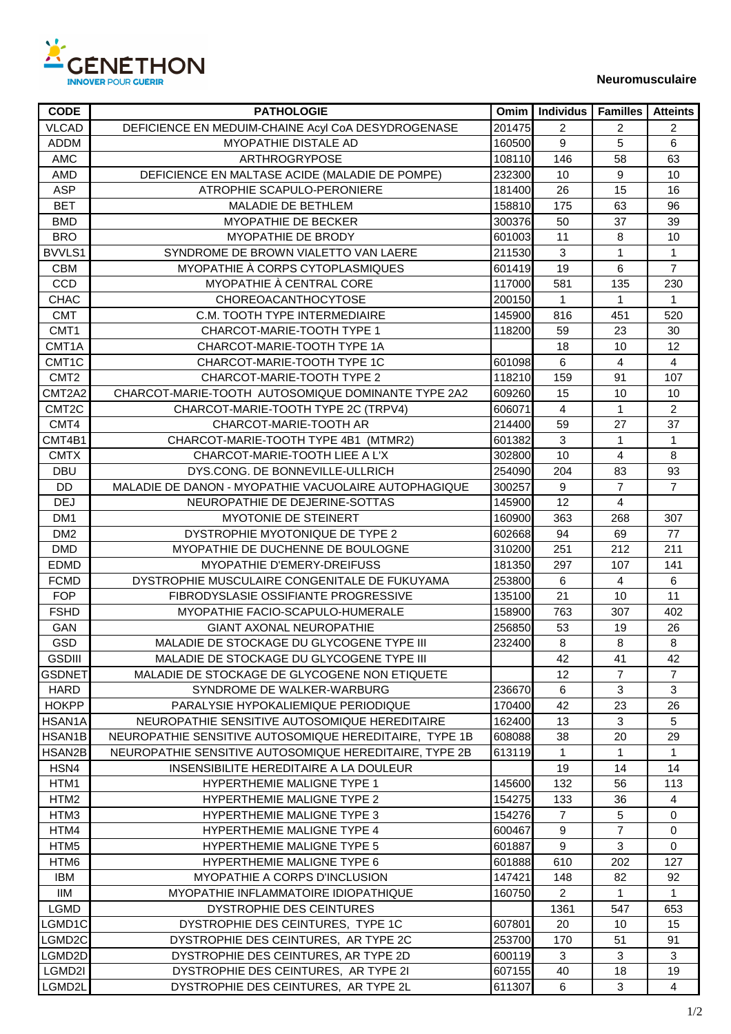

| <b>CODE</b>        | <b>PATHOLOGIE</b>                                      | Omim   | Individus        | <b>Familles</b> | <b>Atteints</b> |
|--------------------|--------------------------------------------------------|--------|------------------|-----------------|-----------------|
| <b>VLCAD</b>       | DEFICIENCE EN MEDUIM-CHAINE Acyl CoA DESYDROGENASE     | 201475 | 2                | $\overline{2}$  | $\overline{2}$  |
| <b>ADDM</b>        | MYOPATHIE DISTALE AD                                   | 160500 | $9\,$            | 5               | 6               |
| AMC                | ARTHROGRYPOSE                                          | 108110 | 146              | 58              | 63              |
| AMD                | DEFICIENCE EN MALTASE ACIDE (MALADIE DE POMPE)         | 232300 | 10               | 9               | 10              |
| <b>ASP</b>         | ATROPHIE SCAPULO-PERONIERE                             | 181400 | 26               | 15              | 16              |
| <b>BET</b>         | MALADIE DE BETHLEM                                     | 158810 | 175              | 63              | 96              |
| <b>BMD</b>         | MYOPATHIE DE BECKER                                    | 300376 | 50               | 37              | 39              |
| <b>BRO</b>         | MYOPATHIE DE BRODY                                     | 601003 | 11               | 8               | 10              |
| BVVLS1             | SYNDROME DE BROWN VIALETTO VAN LAERE                   | 211530 | $\mathbf{3}$     | 1               | $\mathbf{1}$    |
| <b>CBM</b>         | MYOPATHIE À CORPS CYTOPLASMIQUES                       | 601419 | 19               | $\,6\,$         | $\overline{7}$  |
| <b>CCD</b>         | MYOPATHIE À CENTRAL CORE                               | 117000 | 581              | 135             | 230             |
| <b>CHAC</b>        | CHOREOACANTHOCYTOSE                                    | 200150 | $\mathbf{1}$     | 1               | $\mathbf{1}$    |
| <b>CMT</b>         | C.M. TOOTH TYPE INTERMEDIAIRE                          | 145900 | 816              | 451             | 520             |
| CMT1               | CHARCOT-MARIE-TOOTH TYPE 1                             | 118200 | 59               | 23              | 30              |
| CMT1A              | CHARCOT-MARIE-TOOTH TYPE 1A                            |        | 18               | 10              | 12              |
| CMT1C              | CHARCOT-MARIE-TOOTH TYPE 1C                            | 601098 | $\,6\,$          | 4               | $\overline{4}$  |
| CMT <sub>2</sub>   | CHARCOT-MARIE-TOOTH TYPE 2                             | 118210 | 159              | 91              | 107             |
| CMT2A2             | CHARCOT-MARIE-TOOTH AUTOSOMIQUE DOMINANTE TYPE 2A2     | 609260 | 15               | 10              | 10              |
| CMT <sub>2</sub> C | CHARCOT-MARIE-TOOTH TYPE 2C (TRPV4)                    | 606071 | $\overline{4}$   | 1               | $\overline{c}$  |
| CMT4               | CHARCOT-MARIE-TOOTH AR                                 | 214400 | 59               | 27              | 37              |
| CMT4B1             | CHARCOT-MARIE-TOOTH TYPE 4B1 (MTMR2)                   | 601382 | $\mathbf{3}$     | 1               | 1               |
| <b>CMTX</b>        | CHARCOT-MARIE-TOOTH LIEE A L'X                         | 302800 | 10               | 4               | 8               |
| DBU                | DYS.CONG. DE BONNEVILLE-ULLRICH                        | 254090 | 204              | 83              | 93              |
| <b>DD</b>          | MALADIE DE DANON - MYOPATHIE VACUOLAIRE AUTOPHAGIQUE   | 300257 | 9                | $\overline{7}$  | $\overline{7}$  |
| <b>DEJ</b>         | NEUROPATHIE DE DEJERINE-SOTTAS                         | 145900 | 12               | 4               |                 |
| DM <sub>1</sub>    | MYOTONIE DE STEINERT                                   | 160900 | 363              | 268             | 307             |
| DM <sub>2</sub>    | DYSTROPHIE MYOTONIQUE DE TYPE 2                        | 602668 | 94               | 69              | 77              |
| <b>DMD</b>         | MYOPATHIE DE DUCHENNE DE BOULOGNE                      | 310200 | 251              | 212             | 211             |
| <b>EDMD</b>        | MYOPATHIE D'EMERY-DREIFUSS                             | 181350 | 297              | 107             | 141             |
| <b>FCMD</b>        | DYSTROPHIE MUSCULAIRE CONGENITALE DE FUKUYAMA          | 253800 | $\,6\,$          | 4               | 6               |
| <b>FOP</b>         | FIBRODYSLASIE OSSIFIANTE PROGRESSIVE                   | 135100 | 21               | 10              | 11              |
| <b>FSHD</b>        | MYOPATHIE FACIO-SCAPULO-HUMERALE                       | 158900 | 763              | 307             | 402             |
| GAN                | GIANT AXONAL NEUROPATHIE                               | 256850 | 53               | 19              | 26              |
| <b>GSD</b>         | MALADIE DE STOCKAGE DU GLYCOGENE TYPE III              | 232400 | 8                | 8               | 8               |
| <b>GSDIII</b>      | MALADIE DE STOCKAGE DU GLYCOGENE TYPE III              |        | 42               | 41              | 42              |
| <b>GSDNET</b>      | MALADIE DE STOCKAGE DE GLYCOGENE NON ETIQUETE          |        | 12               | $\overline{7}$  | $\overline{7}$  |
| HARD               | SYNDROME DE WALKER-WARBURG                             | 236670 | $\,6\,$          | 3               | 3               |
| <b>HOKPP</b>       | PARALYSIE HYPOKALIEMIQUE PERIODIQUE                    | 170400 | 42               | 23              | 26              |
| HSAN1A             | NEUROPATHIE SENSITIVE AUTOSOMIQUE HEREDITAIRE          | 162400 | 13               | 3               | 5               |
| HSAN1B             | NEUROPATHIE SENSITIVE AUTOSOMIQUE HEREDITAIRE, TYPE 1B | 608088 | 38               | 20              | 29              |
| HSAN2B             | NEUROPATHIE SENSITIVE AUTOSOMIQUE HEREDITAIRE, TYPE 2B | 613119 | 1                | 1.              | 1.              |
| HSN4               | INSENSIBILITE HEREDITAIRE A LA DOULEUR                 |        | 19               | 14              | 14              |
| HTM1               | <b>HYPERTHEMIE MALIGNE TYPE 1</b>                      | 145600 | 132              | 56              | 113             |
| HTM2               | <b>HYPERTHEMIE MALIGNE TYPE 2</b>                      | 154275 | 133              | 36              | 4               |
| HTM3               | <b>HYPERTHEMIE MALIGNE TYPE 3</b>                      | 154276 | $\overline{7}$   | 5               | 0               |
| HTM4               | <b>HYPERTHEMIE MALIGNE TYPE 4</b>                      | 600467 | 9                | $\overline{7}$  | 0               |
| HTM <sub>5</sub>   | <b>HYPERTHEMIE MALIGNE TYPE 5</b>                      | 601887 | $\boldsymbol{9}$ | 3               | 0               |
| HTM6               | <b>HYPERTHEMIE MALIGNE TYPE 6</b>                      | 601888 | 610              | 202             | 127             |
| IBM                | MYOPATHIE A CORPS D'INCLUSION                          | 147421 | 148              | 82              | 92              |
| IIM                | MYOPATHIE INFLAMMATOIRE IDIOPATHIQUE                   | 160750 | $\overline{2}$   | 1.              | 1               |
| <b>LGMD</b>        | DYSTROPHIE DES CEINTURES                               |        | 1361             | 547             | 653             |
| LGMD1C             | DYSTROPHIE DES CEINTURES, TYPE 1C                      | 607801 | 20               | 10              | 15              |
| LGMD2C             | DYSTROPHIE DES CEINTURES, AR TYPE 2C                   | 253700 | 170              | 51              | 91              |
| LGMD2D             | DYSTROPHIE DES CEINTURES, AR TYPE 2D                   | 600119 | 3                | 3               | 3               |
| LGMD2I             | DYSTROPHIE DES CEINTURES, AR TYPE 21                   | 607155 | 40               | 18              | 19              |
| LGMD2L             | DYSTROPHIE DES CEINTURES, AR TYPE 2L                   | 611307 | 6                | 3               | 4               |
|                    |                                                        |        |                  |                 |                 |